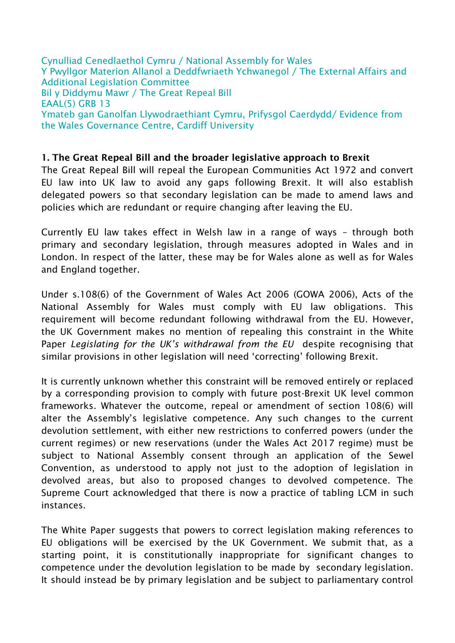Cynulliad Cenedlaethol Cymru / National Assembly for Wales Y Pwyllgor Materion Allanol a Deddfwriaeth Ychwanegol / The External Affairs and Additional Legislation Committee Bil y Diddymu Mawr / The Great Repeal Bill EAAL(5) GRB 13 Ymateb gan Ganolfan Llywodraethiant Cymru, Prifysgol Caerdydd/ Evidence from the Wales Governance Centre, Cardiff University

#### **1. The Great Repeal Bill and the broader legislative approach to Brexit**

The Great Repeal Bill will repeal the European Communities Act 1972 and convert EU law into UK law to avoid any gaps following Brexit. It will also establish delegated powers so that secondary legislation can be made to amend laws and policies which are redundant or require changing after leaving the EU.

Currently EU law takes effect in Welsh law in a range of ways – through both primary and secondary legislation, through measures adopted in Wales and in London. In respect of the latter, these may be for Wales alone as well as for Wales and England together.

Under s.108(6) of the Government of Wales Act 2006 (GOWA 2006), Acts of the National Assembly for Wales must comply with EU law obligations. This requirement will become redundant following withdrawal from the EU. However, the UK Government makes no mention of repealing this constraint in the White Paper *Legislating for the UK's withdrawal from the EU* despite recognising that similar provisions in other legislation will need 'correcting' following Brexit.

It is currently unknown whether this constraint will be removed entirely or replaced by a corresponding provision to comply with future post-Brexit UK level common frameworks. Whatever the outcome, repeal or amendment of section 108(6) will alter the Assembly's legislative competence. Any such changes to the current devolution settlement, with either new restrictions to conferred powers (under the current regimes) or new reservations (under the Wales Act 2017 regime) must be subject to National Assembly consent through an application of the Sewel Convention, as understood to apply not just to the adoption of legislation in devolved areas, but also to proposed changes to devolved competence. The Supreme Court acknowledged that there is now a practice of tabling LCM in such instances.

The White Paper suggests that powers to correct legislation making references to EU obligations will be exercised by the UK Government. We submit that, as a starting point, it is constitutionally inappropriate for significant changes to competence under the devolution legislation to be made by secondary legislation. It should instead be by primary legislation and be subject to parliamentary control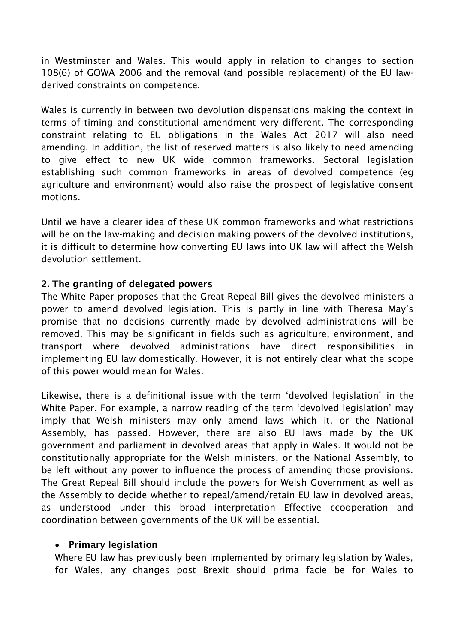in Westminster and Wales. This would apply in relation to changes to section 108(6) of GOWA 2006 and the removal (and possible replacement) of the EU lawderived constraints on competence.

Wales is currently in between two devolution dispensations making the context in terms of timing and constitutional amendment very different. The corresponding constraint relating to EU obligations in the Wales Act 2017 will also need amending. In addition, the list of reserved matters is also likely to need amending to give effect to new UK wide common frameworks. Sectoral legislation establishing such common frameworks in areas of devolved competence (eg agriculture and environment) would also raise the prospect of legislative consent motions.

Until we have a clearer idea of these UK common frameworks and what restrictions will be on the law-making and decision making powers of the devolved institutions, it is difficult to determine how converting EU laws into UK law will affect the Welsh devolution settlement.

# **2. The granting of delegated powers**

The White Paper proposes that the Great Repeal Bill gives the devolved ministers a power to amend devolved legislation. This is partly in line with Theresa May's promise that no decisions currently made by devolved administrations will be removed. This may be significant in fields such as agriculture, environment, and transport where devolved administrations have direct responsibilities in implementing EU law domestically. However, it is not entirely clear what the scope of this power would mean for Wales.

Likewise, there is a definitional issue with the term 'devolved legislation' in the White Paper. For example, a narrow reading of the term 'devolved legislation' may imply that Welsh ministers may only amend laws which it, or the National Assembly, has passed. However, there are also EU laws made by the UK government and parliament in devolved areas that apply in Wales. It would not be constitutionally appropriate for the Welsh ministers, or the National Assembly, to be left without any power to influence the process of amending those provisions. The Great Repeal Bill should include the powers for Welsh Government as well as the Assembly to decide whether to repeal/amend/retain EU law in devolved areas, as understood under this broad interpretation Effective ccooperation and coordination between governments of the UK will be essential.

### **Primary legislation**

Where EU law has previously been implemented by primary legislation by Wales, for Wales, any changes post Brexit should prima facie be for Wales to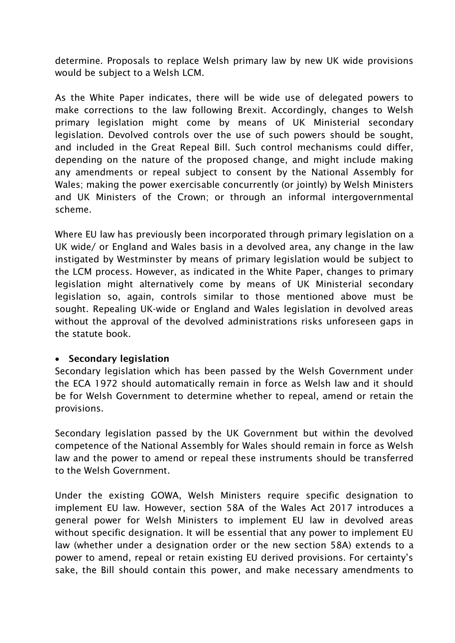determine. Proposals to replace Welsh primary law by new UK wide provisions would be subject to a Welsh LCM.

As the White Paper indicates, there will be wide use of delegated powers to make corrections to the law following Brexit. Accordingly, changes to Welsh primary legislation might come by means of UK Ministerial secondary legislation. Devolved controls over the use of such powers should be sought, and included in the Great Repeal Bill. Such control mechanisms could differ, depending on the nature of the proposed change, and might include making any amendments or repeal subject to consent by the National Assembly for Wales; making the power exercisable concurrently (or jointly) by Welsh Ministers and UK Ministers of the Crown; or through an informal intergovernmental scheme.

Where EU law has previously been incorporated through primary legislation on a UK wide/ or England and Wales basis in a devolved area, any change in the law instigated by Westminster by means of primary legislation would be subject to the LCM process. However, as indicated in the White Paper, changes to primary legislation might alternatively come by means of UK Ministerial secondary legislation so, again, controls similar to those mentioned above must be sought. Repealing UK-wide or England and Wales legislation in devolved areas without the approval of the devolved administrations risks unforeseen gaps in the statute book.

### **•** Secondary legislation

Secondary legislation which has been passed by the Welsh Government under the ECA 1972 should automatically remain in force as Welsh law and it should be for Welsh Government to determine whether to repeal, amend or retain the provisions.

Secondary legislation passed by the UK Government but within the devolved competence of the National Assembly for Wales should remain in force as Welsh law and the power to amend or repeal these instruments should be transferred to the Welsh Government.

Under the existing GOWA, Welsh Ministers require specific designation to implement EU law. However, section 58A of the Wales Act 2017 introduces a general power for Welsh Ministers to implement EU law in devolved areas without specific designation. It will be essential that any power to implement EU law (whether under a designation order or the new section 58A) extends to a power to amend, repeal or retain existing EU derived provisions. For certainty's sake, the Bill should contain this power, and make necessary amendments to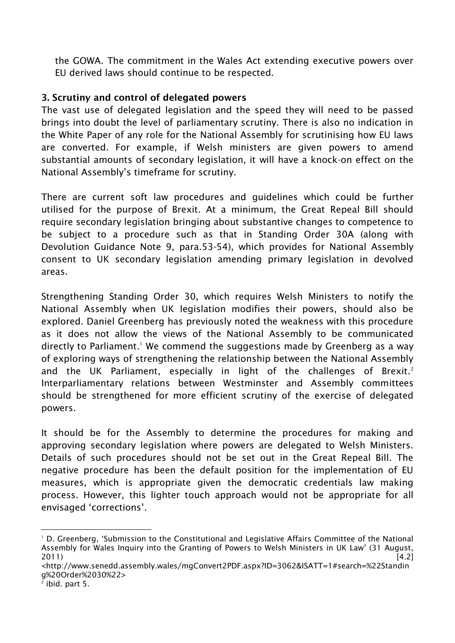the GOWA. The commitment in the Wales Act extending executive powers over EU derived laws should continue to be respected.

## **3. Scrutiny and control of delegated powers**

The vast use of delegated legislation and the speed they will need to be passed brings into doubt the level of parliamentary scrutiny. There is also no indication in the White Paper of any role for the National Assembly for scrutinising how EU laws are converted. For example, if Welsh ministers are given powers to amend substantial amounts of secondary legislation, it will have a knock-on effect on the National Assembly's timeframe for scrutiny.

There are current soft law procedures and guidelines which could be further utilised for the purpose of Brexit. At a minimum, the Great Repeal Bill should require secondary legislation bringing about substantive changes to competence to be subject to a procedure such as that in Standing Order 30A (along with Devolution Guidance Note 9, para.53-54), which provides for National Assembly consent to UK secondary legislation amending primary legislation in devolved areas.

Strengthening Standing Order 30, which requires Welsh Ministers to notify the National Assembly when UK legislation modifies their powers, should also be explored. Daniel Greenberg has previously noted the weakness with this procedure as it does not allow the views of the National Assembly to be communicated directly to Parliament.<sup>1</sup> We commend the suggestions made by Greenberg as a way of exploring ways of strengthening the relationship between the National Assembly and the UK Parliament, especially in light of the challenges of Brexit.<sup>2</sup> Interparliamentary relations between Westminster and Assembly committees should be strengthened for more efficient scrutiny of the exercise of delegated powers.

It should be for the Assembly to determine the procedures for making and approving secondary legislation where powers are delegated to Welsh Ministers. Details of such procedures should not be set out in the Great Repeal Bill. The negative procedure has been the default position for the implementation of EU measures, which is appropriate given the democratic credentials law making process. However, this lighter touch approach would not be appropriate for all envisaged 'corrections'.

1

<sup>&</sup>lt;sup>1</sup> D. Greenberg, 'Submission to the Constitutional and Legislative Affairs Committee of the National Assembly for Wales Inquiry into the Granting of Powers to Welsh Ministers in UK Law' (31 August, 2011) [4.2]

<sup>&</sup>lt;http://www.senedd.assembly.wales/mgConvert2PDF.aspx?ID=3062&ISATT=1#search=%22Standin g%20Order%2030%22>

 $2$  ibid. part 5.